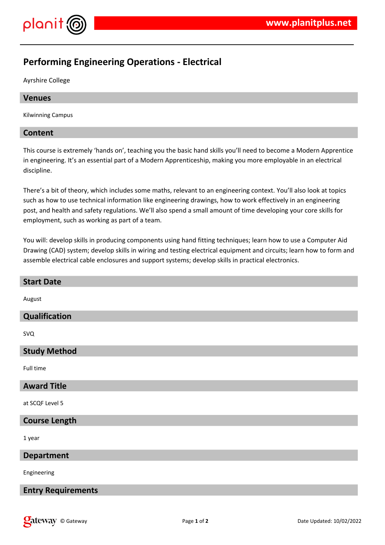

# **Performing Engineering Operations - Electrical**

Ayrshire College

# **Venues**

Kilwinning Campus

# **Content**

This course is extremely 'hands on', teaching you the basic hand skills you'll need to become a Modern Apprentice in engineering. It's an essential part of a Modern Apprenticeship, making you more employable in an electrical discipline.

There's a bit of theory, which includes some maths, relevant to an engineering context. You'll also look at topics such as how to use technical information like engineering drawings, how to work effectively in an engineering post, and health and safety regulations. We'll also spend a small amount of time developing your core skills for employment, such as working as part of a team.

You will: develop skills in producing components using hand fitting techniques; learn how to use a Computer Aid Drawing (CAD) system; develop skills in wiring and testing electrical equipment and circuits; learn how to form and assemble electrical cable enclosures and support systems; develop skills in practical electronics.

| <b>Start Date</b>         |
|---------------------------|
| August                    |
| Qualification             |
| <b>SVQ</b>                |
| <b>Study Method</b>       |
| Full time                 |
| <b>Award Title</b>        |
| at SCQF Level 5           |
| <b>Course Length</b>      |
| 1 year                    |
| <b>Department</b>         |
| Engineering               |
| <b>Entry Requirements</b> |
|                           |